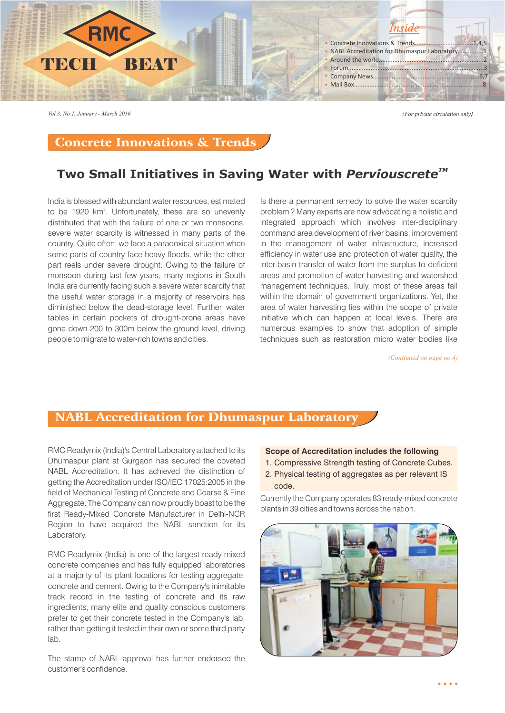

*Vol.3, No.1, January - March 2016*

{For private circulation only}

## Concrete Innovations & Trends

# **Two Small Initiatives in Saving Water with** *Perviouscrete<sup>™</sup>*

India is blessed with abundant water resources, estimated to be 1920 km<sup>3</sup>. Unfortunately, these are so unevenly distributed that with the failure of one or two monsoons, severe water scarcity is witnessed in many parts of the country. Quite often, we face a paradoxical situation when some parts of country face heavy floods, while the other part reels under severe drought. Owing to the failure of monsoon during last few years, many regions in South India are currently facing such a severe water scarcity that the useful water storage in a majority of reservoirs has diminished below the dead-storage level. Further, water tables in certain pockets of drought-prone areas have gone down 200 to 300m below the ground level, driving people to migrate to water-rich towns and cities.

Is there a permanent remedy to solve the water scarcity problem ? Many experts are now advocating a holistic and integrated approach which involves inter-disciplinary command area development of river basins, improvement in the management of water infrastructure, increased efficiency in water use and protection of water quality, the inter-basin transfer of water from the surplus to deficient areas and promotion of water harvesting and watershed management techniques. Truly, most of these areas fall within the domain of government organizations. Yet, the area of water harvesting lies within the scope of private initiative which can happen at local levels. There are numerous examples to show that adoption of simple techniques such as restoration micro water bodies like

*(Continued on page no.4)*

 $\sim$   $\sim$   $\sim$ 

## NABL Accreditation for Dhumaspur Laboratory

RMC Readymix (India)'s Central Laboratory attached to its Dhumaspur plant at Gurgaon has secured the coveted NABL Accreditation. It has achieved the distinction of getting the Accreditation under ISO/IEC 17025:2005 in the field of Mechanical Testing of Concrete and Coarse & Fine Aggregate. The Company can now proudly boast to be the first Ready-Mixed Concrete Manufacturer in Delhi-NCR Region to have acquired the NABL sanction for its Laboratory.

RMC Readymix (India) is one of the largest ready-mixed concrete companies and has fully equipped laboratories at a majority of its plant locations for testing aggregate, concrete and cement. Owing to the Company's inimitable track record in the testing of concrete and its raw ingredients, many elite and quality conscious customers prefer to get their concrete tested in the Company's lab, rather than getting it tested in their own or some third party lab.

The stamp of NABL approval has further endorsed the customer's confidence.

#### **Scope of Accreditation includes the following**

- 1. Compressive Strength testing of Concrete Cubes.
- 2. Physical testing of aggregates as per relevant IS code.

Currently the Company operates 83 ready-mixed concrete plants in 39 cities and towns across the nation.

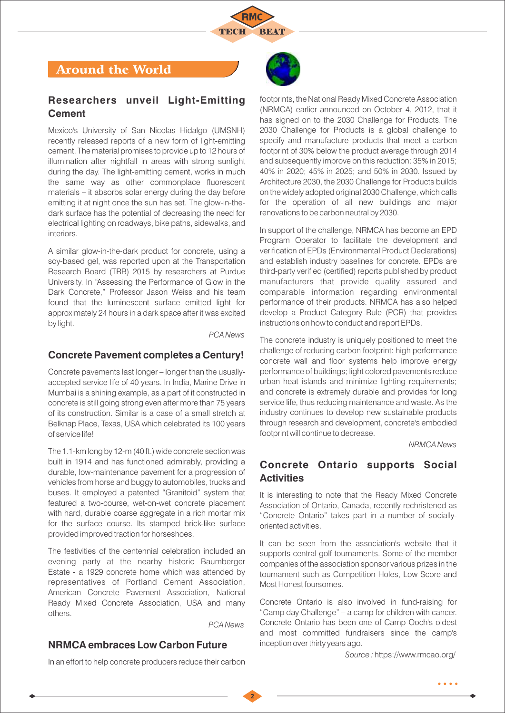

# Around the World

#### **Researchers unveil Light-Emitting Cement**

Mexico's University of San Nicolas Hidalgo (UMSNH) recently released reports of a new form of light-emitting cement. The material promises to provide up to 12 hours of illumination after nightfall in areas with strong sunlight during the day. The light-emitting cement, works in much the same way as other commonplace fluorescent materials – it absorbs solar energy during the day before emitting it at night once the sun has set. The glow-in-thedark surface has the potential of decreasing the need for electrical lighting on roadways, bike paths, sidewalks, and interiors.

A similar glow-in-the-dark product for concrete, using a soy-based gel, was reported upon at the Transportation Research Board (TRB) 2015 by researchers at Purdue University. In "Assessing the Performance of Glow in the Dark Concrete," Professor Jason Weiss and his team found that the luminescent surface emitted light for approximately 24 hours in a dark space after it was excited by light.

*PCA News*

#### **Concrete Pavement completes a Century!**

Concrete pavements last longer – longer than the usuallyaccepted service life of 40 years. In India, Marine Drive in Mumbai is a shining example, as a part of it constructed in concrete is still going strong even after more than 75 years of its construction. Similar is a case of a small stretch at Belknap Place, Texas, USA which celebrated its 100 years of service life!

The 1.1-km long by 12-m (40 ft.) wide concrete section was built in 1914 and has functioned admirably, providing a durable, low-maintenance pavement for a progression of vehicles from horse and buggy to automobiles, trucks and buses. It employed a patented "Granitoid" system that featured a two-course, wet-on-wet concrete placement with hard, durable coarse aggregate in a rich mortar mix for the surface course. Its stamped brick-like surface provided improved traction for horseshoes.

The festivities of the centennial celebration included an evening party at the nearby historic Baumberger Estate - a 1929 concrete home which was attended by representatives of Portland Cement Association, American Concrete Pavement Association, National Ready Mixed Concrete Association, USA and many others.

*PCA News*

### **NRMCA embraces Low Carbon Future**

In an effort to help concrete producers reduce their carbon



footprints, the National Ready Mixed Concrete Association (NRMCA) earlier announced on October 4, 2012, that it has signed on to the 2030 Challenge for Products. The 2030 Challenge for Products is a global challenge to specify and manufacture products that meet a carbon footprint of 30% below the product average through 2014 and subsequently improve on this reduction: 35% in 2015; 40% in 2020; 45% in 2025; and 50% in 2030. Issued by Architecture 2030, the 2030 Challenge for Products builds on the widely adopted original 2030 Challenge, which calls for the operation of all new buildings and major renovations to be carbon neutral by 2030.

In support of the challenge, NRMCA has become an EPD Program Operator to facilitate the development and verification of EPDs (Environmental Product Declarations) and establish industry baselines for concrete. EPDs are third-party verified (certified) reports published by product manufacturers that provide quality assured and comparable information regarding environmental performance of their products. NRMCA has also helped develop a Product Category Rule (PCR) that provides instructions on how to conduct and report EPDs.

The concrete industry is uniquely positioned to meet the challenge of reducing carbon footprint: high performance concrete wall and floor systems help improve energy performance of buildings; light colored pavements reduce urban heat islands and minimize lighting requirements; and concrete is extremely durable and provides for long service life, thus reducing maintenance and waste. As the industry continues to develop new sustainable products through research and development, concrete's embodied footprint will continue to decrease.

*NRMCA News*

### **Concrete Ontario supports Social Activities**

It is interesting to note that the Ready Mixed Concrete Association of Ontario, Canada, recently rechristened as "Concrete Ontario" takes part in a number of sociallyoriented activities.

It can be seen from the association's website that it supports central golf tournaments. Some of the member companies of the association sponsor various prizes in the tournament such as Competition Holes, Low Score and Most Honest foursomes.

Concrete Ontario is also involved in fund-raising for "Camp day Challenge" – a camp for children with cancer. Concrete Ontario has been one of Camp Ooch's oldest and most committed fundraisers since the camp's inception over thirty years ago.

*Source :* https://www.rmcao.org/

 $\bullet\bullet\bullet\bullet$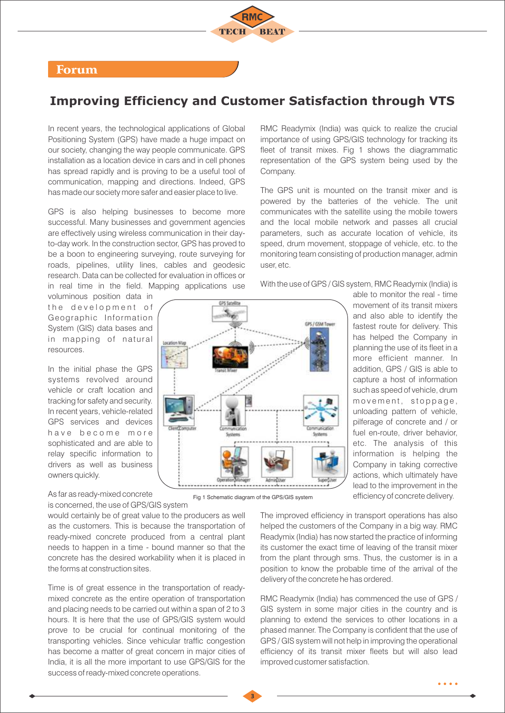#### Forum

# **Improving Efficiency and Customer Satisfaction through VTS**

In recent years, the technological applications of Global Positioning System (GPS) have made a huge impact on our society, changing the way people communicate. GPS installation as a location device in cars and in cell phones has spread rapidly and is proving to be a useful tool of communication, mapping and directions. Indeed, GPS has made our society more safer and easier place to live.

GPS is also helping businesses to become more successful. Many businesses and government agencies are effectively using wireless communication in their dayto-day work. In the construction sector, GPS has proved to be a boon to engineering surveying, route surveying for roads, pipelines, utility lines, cables and geodesic research. Data can be collected for evaluation in offices or in real time in the field. Mapping applications use

voluminous position data in the development of Geographic Information System (GIS) data bases and in mapping of natural resources.

In the initial phase the GPS systems revolved around vehicle or craft location and tracking for safety and security. In recent years, vehicle-related GPS services and devices have become more sophisticated and are able to relay specific information to drivers as well as business owners quickly.

As far as ready-mixed concrete is concerned, the use of GPS/GIS system

would certainly be of great value to the producers as well as the customers. This is because the transportation of ready-mixed concrete produced from a central plant needs to happen in a time - bound manner so that the concrete has the desired workability when it is placed in the forms at construction sites.

Time is of great essence in the transportation of readymixed concrete as the entire operation of transportation and placing needs to be carried out within a span of 2 to 3 hours. It is here that the use of GPS/GIS system would prove to be crucial for continual monitoring of the transporting vehicles. Since vehicular traffic congestion has become a matter of great concern in major cities of India, it is all the more important to use GPS/GIS for the success of ready-mixed concrete operations.

**GPS Satellite GPS / GSM True Location Mar** 

Fig 1 Schematic diagram of the GPS/GIS system

RMC Readymix (India) was quick to realize the crucial importance of using GPS/GIS technology for tracking its fleet of transit mixes. Fig 1 shows the diagrammatic representation of the GPS system being used by the Company.

The GPS unit is mounted on the transit mixer and is powered by the batteries of the vehicle. The unit communicates with the satellite using the mobile towers and the local mobile network and passes all crucial parameters, such as accurate location of vehicle, its speed, drum movement, stoppage of vehicle, etc. to the monitoring team consisting of production manager, admin user, etc.

With the use of GPS / GIS system, RMC Readymix (India) is

able to monitor the real - time movement of its transit mixers and also able to identify the fastest route for delivery. This has helped the Company in planning the use of its fleet in a more efficient manner. In addition, GPS / GIS is able to capture a host of information such as speed of vehicle, drum movement, stoppage, unloading pattern of vehicle, pilferage of concrete and / or fuel en-route, driver behavior, etc. The analysis of this information is helping the Company in taking corrective actions, which ultimately have lead to the improvement in the efficiency of concrete delivery.

The improved efficiency in transport operations has also helped the customers of the Company in a big way. RMC Readymix (India) has now started the practice of informing its customer the exact time of leaving of the transit mixer from the plant through sms. Thus, the customer is in a position to know the probable time of the arrival of the delivery of the concrete he has ordered.

RMC Readymix (India) has commenced the use of GPS / GIS system in some major cities in the country and is planning to extend the services to other locations in a phased manner. The Company is confident that the use of GPS / GIS system will not help in improving the operational efficiency of its transit mixer fleets but will also lead improved customer satisfaction.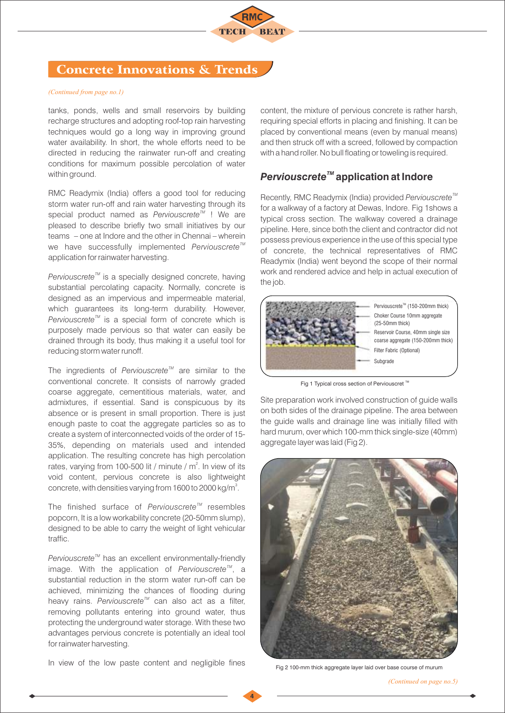

# Concrete Innovations & Trends

#### *(Continued from page no.1)*

tanks, ponds, wells and small reservoirs by building recharge structures and adopting roof-top rain harvesting techniques would go a long way in improving ground water availability. In short, the whole efforts need to be directed in reducing the rainwater run-off and creating conditions for maximum possible percolation of water within ground.

RMC Readymix (India) offers a good tool for reducing storm water run-off and rain water harvesting through its special product named as *Perviouscrete<sup>™</sup>* ! We are pleased to describe briefly two small initiatives by our teams – one at Indore and the other in Chennai – wherein *We* have successfully implemented *Perviouscrete<sup>™</sup>* application for rainwater harvesting.

*Perviouscrete<sup>™</sup>* is a specially designed concrete, having substantial percolating capacity. Normally, concrete is designed as an impervious and impermeable material, which guarantees its long-term durability. However, *Perviouscrete<sup>™</sup>* is a special form of concrete which is purposely made pervious so that water can easily be drained through its body, thus making it a useful tool for reducing storm water runoff.

The ingredients of *Perviouscrete<sup>™</sup>* are similar to the conventional concrete. It consists of narrowly graded coarse aggregate, cementitious materials, water, and admixtures, if essential. Sand is conspicuous by its absence or is present in small proportion. There is just enough paste to coat the aggregate particles so as to create a system of interconnected voids of the order of 15- 35%, depending on materials used and intended application. The resulting concrete has high percolation rates, varying from 100-500 lit / minute /  $m^2$ . In view of its void content, pervious concrete is also lightweight concrete, with densities varying from 1600 to 2000 kg/m<sup>3</sup>.

*TM* The finished surface of *Perviouscrete* resembles popcorn, It is a low workability concrete (20-50mm slump), designed to be able to carry the weight of light vehicular traffic.

*Perviouscrete<sup>™</sup>* has an excellent environmentally-friendly image. With the application of *Perviouscrete<sup>™</sup>*, a substantial reduction in the storm water run-off can be achieved, minimizing the chances of flooding during *heavy rains. Perviouscrete<sup>™</sup> can also act as a filter.* removing pollutants entering into ground water, thus protecting the underground water storage. With these two advantages pervious concrete is potentially an ideal tool for rainwater harvesting.

In view of the low paste content and negligible fines

content, the mixture of pervious concrete is rather harsh, requiring special efforts in placing and finishing. It can be placed by conventional means (even by manual means) and then struck off with a screed, followed by compaction with a hand roller. No bull floating or toweling is required.

#### *TM Perviouscrete* **application at Indore**

*TM* Recently, RMC Readymix (India) provided *Perviouscrete* for a walkway of a factory at Dewas, Indore. Fig 1shows a typical cross section. The walkway covered a drainage pipeline. Here, since both the client and contractor did not possess previous experience in the use of this special type of concrete, the technical representatives of RMC Readymix (India) went beyond the scope of their normal work and rendered advice and help in actual execution of the job.



Fig 1 Typical cross section of Perviouscret  $\mathbb{M}$ 

Site preparation work involved construction of guide walls on both sides of the drainage pipeline. The area between the guide walls and drainage line was initially filled with hard murum, over which 100-mm thick single-size (40mm) aggregate layer was laid (Fig 2).



Fig 2 100-mm thick aggregate layer laid over base course of murum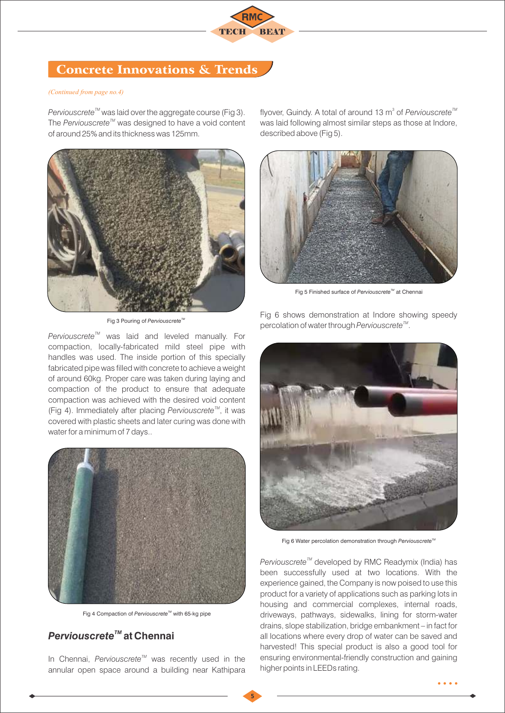

# Concrete Innovations & Trends

#### *(Continued from page no.4)*

*Perviouscrete<sup>™</sup>* was laid over the aggregate course (Fig 3). The Perviouscrete<sup>™</sup> was designed to have a void content of around 25% and its thickness was 125mm.



**Fig 3 Pouring of Perviouscrete**<sup>1</sup>

flyover, Guindy. A total of around 13 m<sup>3</sup> of *Perviouscrete<sup>™</sup>* was laid following almost similar steps as those at Indore, described above (Fig 5).



Fig 5 Finished surface of *Perviouscrete<sup>™</sup>* at Chennai

*Perviouscrete<sup>™</sup>* was laid and leveled manually. For compaction, locally-fabricated mild steel pipe with handles was used. The inside portion of this specially fabricated pipe was filled with concrete to achieve a weight of around 60kg. Proper care was taken during laying and compaction of the product to ensure that adequate compaction was achieved with the desired void content *(Fig 4). Immediately after placing Perviouscrete<sup>™</sup>, it was* covered with plastic sheets and later curing was done with water for a minimum of 7 days..



Fig 4 Compaction of *Perviouscrete<sup>™</sup>* with 65-kg pipe

# *TM Perviouscrete* **at Chennai**

*TM* In Chennai, *Perviouscrete* was recently used in the annular open space around a building near Kathipara

Fig 6 shows demonstration at Indore showing speedy percolation of water through *Perviouscrete<sup>™</sup>*.



Fig 6 Water percolation demonstration through *Perviouscrete<sup>™</sup>* 

*Perviouscrete<sup>™</sup>* developed by RMC Readymix (India) has been successfully used at two locations. With the experience gained, the Company is now poised to use this product for a variety of applications such as parking lots in housing and commercial complexes, internal roads, driveways, pathways, sidewalks, lining for storm-water drains, slope stabilization, bridge embankment – in fact for all locations where every drop of water can be saved and harvested! This special product is also a good tool for ensuring environmental-friendly construction and gaining higher points in LEEDs rating.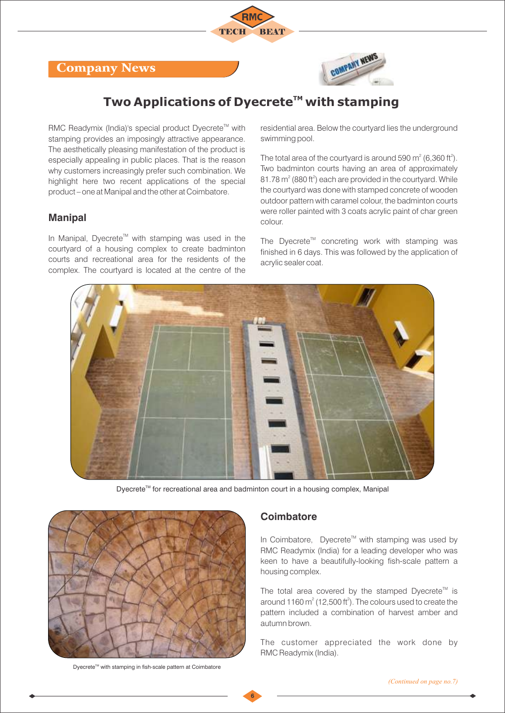# Company News



# **Two Applications of Dyecrete<sup>™</sup> with stamping**

RMC Readymix (India)'s special product Dyecrete<sup>™</sup> with stamping provides an imposingly attractive appearance. The aesthetically pleasing manifestation of the product is especially appealing in public places. That is the reason why customers increasingly prefer such combination. We highlight here two recent applications of the special product – one at Manipal and the other at Coimbatore.

#### **Manipal**

In Manipal, Dyecrete<sup>™</sup> with stamping was used in the courtyard of a housing complex to create badminton courts and recreational area for the residents of the complex. The courtyard is located at the centre of the residential area. Below the courtyard lies the underground swimming pool.

The total area of the courtyard is around 590  $m^2$  (6,360 ft<sup>2</sup>). Two badminton courts having an area of approximately  $81.78$  m<sup>2</sup> (880 ft<sup>2</sup>) each are provided in the courtyard. While the courtyard was done with stamped concrete of wooden outdoor pattern with caramel colour, the badminton courts were roller painted with 3 coats acrylic paint of char green colour.

The Dyecrete<sup>™</sup> concreting work with stamping was finished in 6 days. This was followed by the application of acrylic sealer coat.



Dyecrete<sup>™</sup> for recreational area and badminton court in a housing complex, Manipal

**6**



Dyecrete<sup>™</sup> with stamping in fish-scale pattern at Coimbatore

#### **Coimbatore**

In Coimbatore, Dyecrete<sup>™</sup> with stamping was used by RMC Readymix (India) for a leading developer who was keen to have a beautifully-looking fish-scale pattern a housing complex.

The total area covered by the stamped Dyecrete<sup> $M$ </sup> is around 1160  $\text{m}^2$  (12,500 ft<sup>2</sup>). The colours used to create the pattern included a combination of harvest amber and autumn brown.

The customer appreciated the work done by RMC Readymix (India).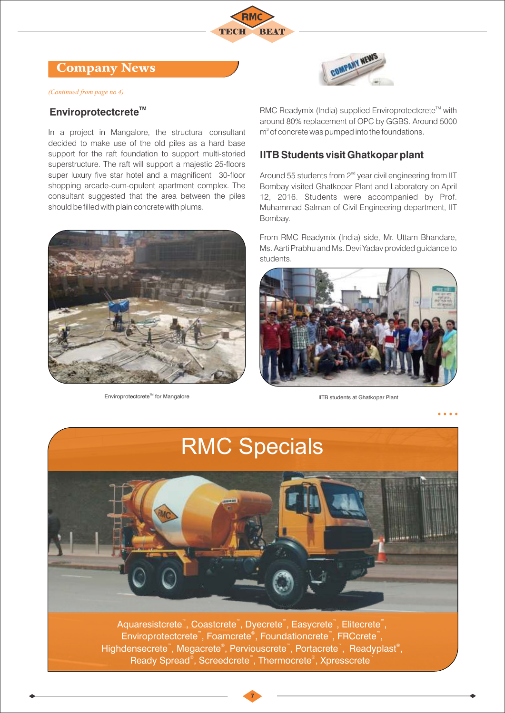## Company News

*(Continued from page no.4)*

### **Enviroprotectcrete™**

In a project in Mangalore, the structural consultant decided to make use of the old piles as a hard base support for the raft foundation to support multi-storied superstructure. The raft will support a majestic 25-floors super luxury five star hotel and a magnificent 30-floor shopping arcade-cum-opulent apartment complex. The consultant suggested that the area between the piles should be filled with plain concrete with plums.



Enviroprotectcrete<sup>™</sup> for Mangalore IITB students at Ghatkopar Plant



RMC Readymix (India) supplied Enviroprotectcrete<sup>™</sup> with around 80% replacement of OPC by GGBS. Around 5000  $m<sup>3</sup>$  of concrete was pumped into the foundations.

### **IITB Students visit Ghatkopar plant**

Around 55 students from  $2<sup>nd</sup>$  year civil engineering from IIT Bombay visited Ghatkopar Plant and Laboratory on April 12, 2016. Students were accompanied by Prof. Muhammad Salman of Civil Engineering department, IIT Bombay.

From RMC Readymix (India) side, Mr. Uttam Bhandare, Ms. Aarti Prabhu and Ms. Devi Yadav provided guidance to students.



RMC Specials 5. . . . Aquaresistcrete<sup>"</sup>, Coastcrete<sup>"</sup>, Dyecrete<sup>"</sup>, Easycrete<sup>"</sup>, Elitecrete<sup>"</sup>, Enviroprotectcrete<sup>®</sup>, Foamcrete<sup>®</sup>, Foundationcrete<sup>®</sup>, FRCcrete<sup>®</sup>, Highdensecrete", Megacrete®, Perviouscrete", Portacrete", Readyplast®,